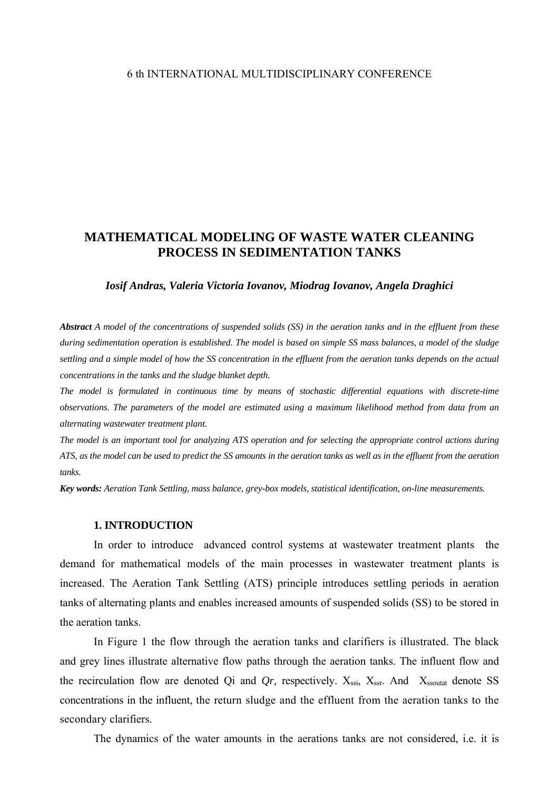# **MATHEMATICAL MODELING OF WASTE WATER CLEANING PROCESS IN SEDIMENTATION TANKS**

## *Iosif Andras, Valeria Victoria Iovanov, Miodrag Iovanov, Angela Draghici*

*Abstract A model of the concentrations of suspended solids (SS) in the aeration tanks and in the effluent from these during sedimentation operation is established. The model is based on simple SS mass balances, a model of the sludge settling and a simple model of how the SS concentration in the effluent from the aeration tanks depends on the actual concentrations in the tanks and the sludge blanket depth.* 

*The model is formulated in continuous time by means of stochastic differential equations with discrete-time observations. The parameters of the model are estimated using a maximum likelihood method from data from an alternating wastewater treatment plant.* 

*The model is an important tool for analyzing ATS operation and for selecting the appropriate control actions during ATS, as the model can be used to predict the SS amounts in the aeration tanks as well as in the effluent from the aeration tanks.* 

*Key words: Aeration Tank Settling, mass balance, grey-box models, statistical identification, on-line measurements.* 

#### **1. INTRODUCTION**

In order to introduce advanced control systems at wastewater treatment plants the demand for mathematical models of the main processes in wastewater treatment plants is increased. The Aeration Tank Settling (ATS) principle introduces settling periods in aeration tanks of alternating plants and enables increased amounts of suspended solids (SS) to be stored in the aeration tanks.

In Figure 1 the flow through the aeration tanks and clarifiers is illustrated. The black and grey lines illustrate alternative flow paths through the aeration tanks. The influent flow and the recirculation flow are denoted Qi and  $Qr$ , respectively.  $X_{ssi}$ ,  $X_{ssr}$ . And  $X_{ssoutat}$  denote SS concentrations in the influent, the return sludge and the effluent from the aeration tanks to the secondary clarifiers.

The dynamics of the water amounts in the aerations tanks are not considered, i.e. it is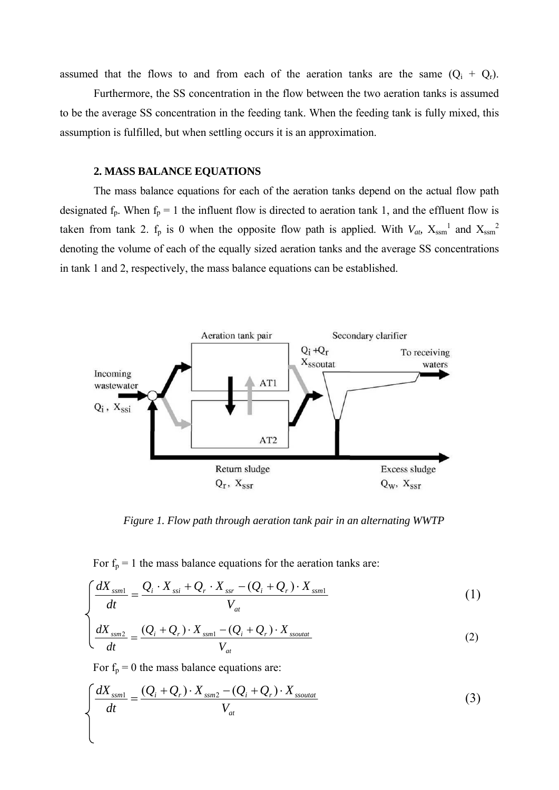assumed that the flows to and from each of the aeration tanks are the same  $(Q_i + Q_r)$ .

 Furthermore, the SS concentration in the flow between the two aeration tanks is assumed to be the average SS concentration in the feeding tank. When the feeding tank is fully mixed, this assumption is fulfilled, but when settling occurs it is an approximation.

## **2. MASS BALANCE EQUATIONS**

The mass balance equations for each of the aeration tanks depend on the actual flow path designated  $f_p$ . When  $f_p = 1$  the influent flow is directed to aeration tank 1, and the effluent flow is taken from tank 2.  $f_p$  is 0 when the opposite flow path is applied. With  $V_{ab}$ ,  $X_{ssm}$ <sup>1</sup> and  $X_{ssm}$ <sup>2</sup> denoting the volume of each of the equally sized aeration tanks and the average SS concentrations in tank 1 and 2, respectively, the mass balance equations can be established.



*Figure 1. Flow path through aeration tank pair in an alternating WWTP*

For  $f_p = 1$  the mass balance equations for the aeration tanks are:

$$
\int \frac{dX_{ssml}}{dt} = \frac{Q_i \cdot X_{ssi} + Q_r \cdot X_{ssr} - (Q_i + Q_r) \cdot X_{ssml}}{V_{at}}
$$
\n(1)

$$
\left(\frac{dX_{ssm2}}{dt} = \frac{(Q_i + Q_r) \cdot X_{ssm1} - (Q_i + Q_r) \cdot X_{ssoutat}}{V_{at}}\right)
$$
 (2)

For  $f_p = 0$  the mass balance equations are:

$$
\int \frac{dX_{ssml}}{dt} = \frac{(Q_i + Q_r) \cdot X_{ssm2} - (Q_i + Q_r) \cdot X_{ssoutat}}{V_{at}}
$$
\n(3)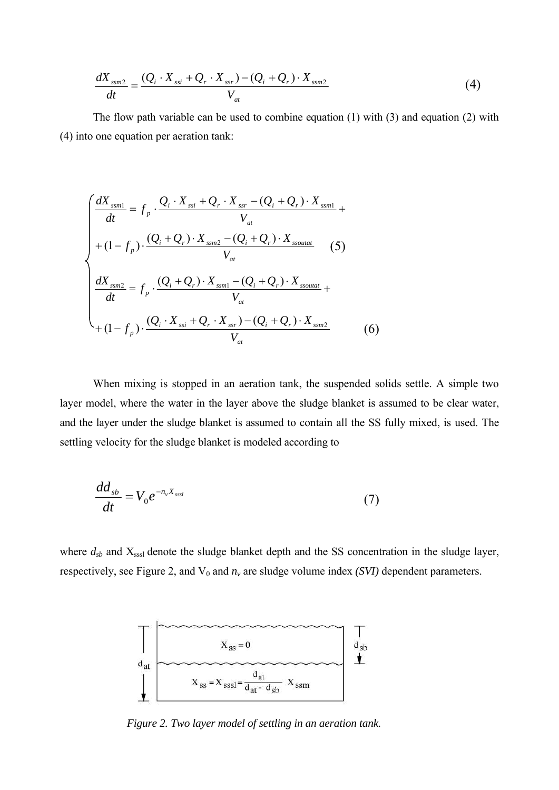$$
\frac{dX_{ssm2}}{dt} = \frac{(Q_i \cdot X_{ssi} + Q_r \cdot X_{ssr}) - (Q_i + Q_r) \cdot X_{ssm2}}{V_{at}}
$$
(4)

The flow path variable can be used to combine equation (1) with (3) and equation (2) with (4) into one equation per aeration tank:

$$
\begin{cases}\n\frac{dX_{ssml}}{dt} = f_p \cdot \frac{Q_i \cdot X_{ssi} + Q_r \cdot X_{ssr} - (Q_i + Q_r) \cdot X_{ssml}}{V_{at}} + \\
+ (1 - f_p) \cdot \frac{(Q_i + Q_r) \cdot X_{ssm2} - (Q_i + Q_r) \cdot X_{ssoutat}}{V_{at}} \quad (5) \\
\frac{dX_{ssm2}}{dt} = f_p \cdot \frac{(Q_i + Q_r) \cdot X_{ssml} - (Q_i + Q_r) \cdot X_{ssoutat}}{V_{at}} + \\
+ (1 - f_p) \cdot \frac{(Q_i \cdot X_{ssi} + Q_r \cdot X_{ssr}) - (Q_i + Q_r) \cdot X_{ssm2}}{V_{at}} \quad (6)\n\end{cases}
$$

When mixing is stopped in an aeration tank, the suspended solids settle. A simple two layer model, where the water in the layer above the sludge blanket is assumed to be clear water, and the layer under the sludge blanket is assumed to contain all the SS fully mixed, is used. The settling velocity for the sludge blanket is modeled according to

$$
\frac{dd_{sb}}{dt} = V_0 e^{-n_v X_{sssl}} \tag{7}
$$

where  $d_{sb}$  and  $X_{sssl}$  denote the sludge blanket depth and the SS concentration in the sludge layer, respectively, see Figure 2, and  $V_0$  and  $n<sub>v</sub>$  are sludge volume index *(SVI)* dependent parameters.



*Figure 2. Two layer model of settling in an aeration tank.*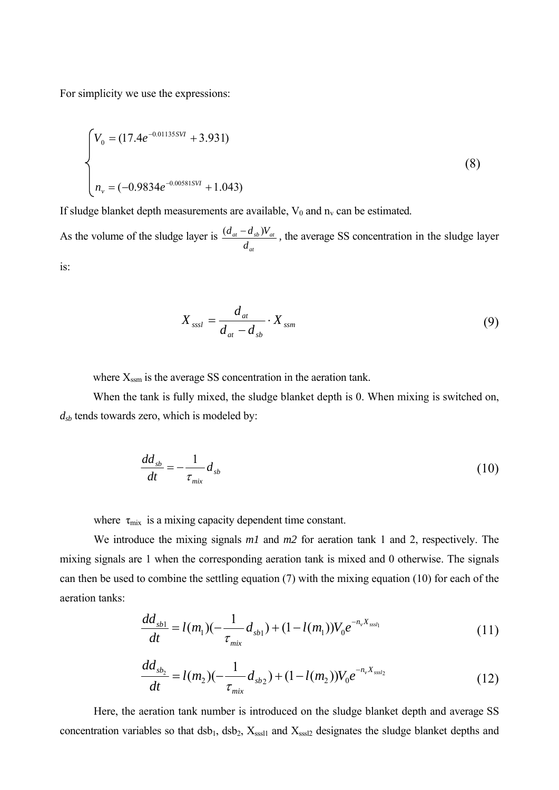For simplicity we use the expressions:

$$
\begin{cases}\nV_0 = (17.4e^{-0.01135SVt} + 3.931) \\
n_v = (-0.9834e^{-0.00581SVt} + 1.043)\n\end{cases}
$$
\n(8)

If sludge blanket depth measurements are available,  $V_0$  and  $n_v$  can be estimated.

As the volume of the sludge layer is *at*  $a_t = a_{sb}$  *y*  $a_t$ *d*  $\frac{(d_{at}-d_{sb})V_{at}}{M}$ , the average SS concentration in the sludge layer is:

$$
X_{sssl} = \frac{d_{at}}{d_{at} - d_{sb}} \cdot X_{ssm}
$$
 (9)

where  $X_{\text{ssm}}$  is the average SS concentration in the aeration tank.

When the tank is fully mixed, the sludge blanket depth is 0. When mixing is switched on, *dsb* tends towards zero, which is modeled by:

$$
\frac{dd_{sb}}{dt} = -\frac{1}{\tau_{mix}} d_{sb} \tag{10}
$$

where  $\tau_{\text{mix}}$  is a mixing capacity dependent time constant.

We introduce the mixing signals *m1* and *m2* for aeration tank 1 and 2, respectively. The mixing signals are 1 when the corresponding aeration tank is mixed and 0 otherwise. The signals can then be used to combine the settling equation (7) with the mixing equation (10) for each of the aeration tanks:

$$
\frac{dd_{sb1}}{dt} = l(m_1)(-\frac{1}{\tau_{mix}}d_{sb1}) + (1-l(m_1))V_0e^{-n_vX_{sssl_1}}
$$
\n(11)

$$
\frac{dd_{sb_2}}{dt} = l(m_2)(-\frac{1}{\tau_{mix}}d_{sb_2}) + (1-l(m_2))V_0e^{-n_v X_{sssl_2}}
$$
\n(12)

Here, the aeration tank number is introduced on the sludge blanket depth and average SS concentration variables so that  $dsb_1$ ,  $dsb_2$ ,  $X_{sssl1}$  and  $X_{sssl2}$  designates the sludge blanket depths and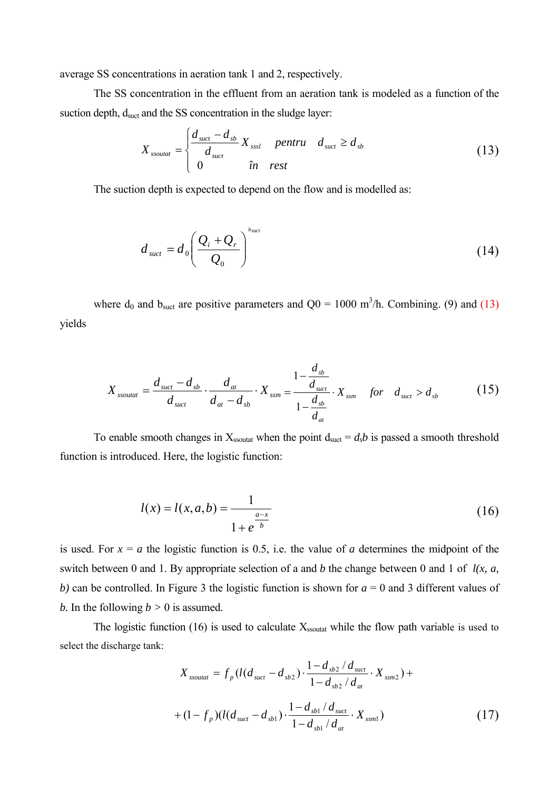average SS concentrations in aeration tank 1 and 2, respectively.

The SS concentration in the effluent from an aeration tank is modeled as a function of the suction depth, dsuct and the SS concentration in the sludge layer:

$$
X_{\text{ssoutat}} = \begin{cases} \frac{d_{\text{such}} - d_{\text{sb}}}{d_{\text{such}}} X_{\text{ssst}} & \text{pentru} \quad d_{\text{such}} \ge d_{\text{sb}} \\ 0 & \text{in} \quad \text{rest} \end{cases} \tag{13}
$$

The suction depth is expected to depend on the flow and is modelled as:

$$
d_{\text{succ}} = d_0 \left( \frac{Q_i + Q_r}{Q_0} \right)^{b_{\text{succ}}} \tag{14}
$$

where  $d_0$  and  $b_{\text{such}}$  are positive parameters and  $Q_0 = 1000 \text{ m}^3/\text{h}$ . Combining. (9) and (13) yields

$$
X_{\text{ssoutat}} = \frac{d_{\text{suct}} - d_{\text{sb}}}{d_{\text{suct}}} \cdot \frac{d_{\text{at}}}{d_{\text{at}} - d_{\text{sb}}} \cdot X_{\text{ssm}} = \frac{1 - \frac{d_{\text{sb}}}{d_{\text{suct}}}}{1 - \frac{d_{\text{sb}}}{d_{\text{at}}}} \cdot X_{\text{ssm}} \quad \text{for} \quad d_{\text{suct}} > d_{\text{sb}} \tag{15}
$$

To enable smooth changes in  $X_{\text{ssoutat}}$  when the point  $d_{\text{such}} = d_s b$  is passed a smooth threshold function is introduced. Here, the logistic function:

$$
l(x) = l(x, a, b) = \frac{1}{1 + e^{\frac{a - x}{b}}}
$$
\n(16)

is used. For  $x = a$  the logistic function is 0.5, i.e. the value of *a* determines the midpoint of the switch between 0 and 1. By appropriate selection of a and *b* the change between 0 and 1 of *l(x, a, b)* can be controlled. In Figure 3 the logistic function is shown for *a* = 0 and 3 different values of *b*. In the following  $b > 0$  is assumed.

The logistic function (16) is used to calculate  $X_{\text{ssoutat}}$  while the flow path variable is used to select the discharge tank:

$$
X_{\text{ssoutat}} = f_p(l(d_{\text{suct}} - d_{\text{sb2}}) \cdot \frac{1 - d_{\text{sb2}} / d_{\text{suct}}}{1 - d_{\text{sb2}} / d_{\text{at}}} \cdot X_{\text{ssm2}}) +
$$
  
+ 
$$
(1 - f_p)(l(d_{\text{suct}} - d_{\text{sb1}}) \cdot \frac{1 - d_{\text{sb1}} / d_{\text{suct}}}{1 - d_{\text{sb1}} / d_{\text{at}}} \cdot X_{\text{ssm1}})
$$
(17)